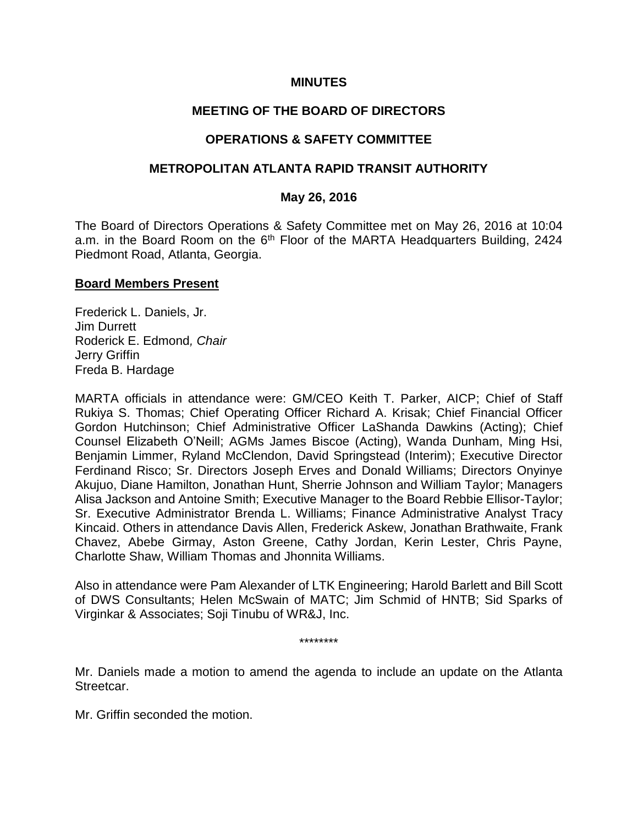### **MINUTES**

## **MEETING OF THE BOARD OF DIRECTORS**

## **OPERATIONS & SAFETY COMMITTEE**

### **METROPOLITAN ATLANTA RAPID TRANSIT AUTHORITY**

#### **May 26, 2016**

The Board of Directors Operations & Safety Committee met on May 26, 2016 at 10:04 a.m. in the Board Room on the 6<sup>th</sup> Floor of the MARTA Headquarters Building, 2424 Piedmont Road, Atlanta, Georgia.

#### **Board Members Present**

Frederick L. Daniels, Jr. Jim Durrett Roderick E. Edmond*, Chair* Jerry Griffin Freda B. Hardage

MARTA officials in attendance were: GM/CEO Keith T. Parker, AICP; Chief of Staff Rukiya S. Thomas; Chief Operating Officer Richard A. Krisak; Chief Financial Officer Gordon Hutchinson; Chief Administrative Officer LaShanda Dawkins (Acting); Chief Counsel Elizabeth O'Neill; AGMs James Biscoe (Acting), Wanda Dunham, Ming Hsi, Benjamin Limmer, Ryland McClendon, David Springstead (Interim); Executive Director Ferdinand Risco; Sr. Directors Joseph Erves and Donald Williams; Directors Onyinye Akujuo, Diane Hamilton, Jonathan Hunt, Sherrie Johnson and William Taylor; Managers Alisa Jackson and Antoine Smith; Executive Manager to the Board Rebbie Ellisor-Taylor; Sr. Executive Administrator Brenda L. Williams; Finance Administrative Analyst Tracy Kincaid. Others in attendance Davis Allen, Frederick Askew, Jonathan Brathwaite, Frank Chavez, Abebe Girmay, Aston Greene, Cathy Jordan, Kerin Lester, Chris Payne, Charlotte Shaw, William Thomas and Jhonnita Williams.

Also in attendance were Pam Alexander of LTK Engineering; Harold Barlett and Bill Scott of DWS Consultants; Helen McSwain of MATC; Jim Schmid of HNTB; Sid Sparks of Virginkar & Associates; Soji Tinubu of WR&J, Inc.

\*\*\*\*\*\*\*\*

Mr. Daniels made a motion to amend the agenda to include an update on the Atlanta Streetcar.

Mr. Griffin seconded the motion.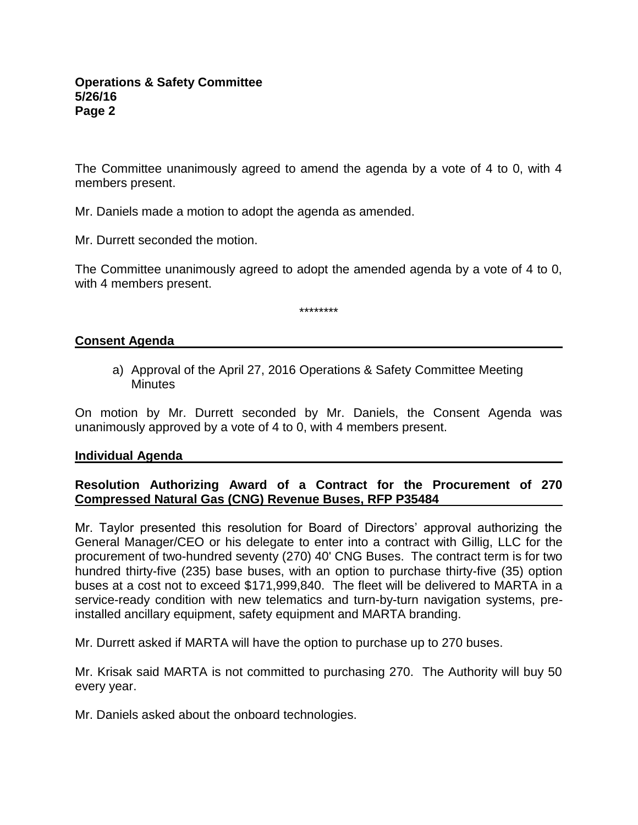The Committee unanimously agreed to amend the agenda by a vote of 4 to 0, with 4 members present.

Mr. Daniels made a motion to adopt the agenda as amended.

Mr. Durrett seconded the motion.

The Committee unanimously agreed to adopt the amended agenda by a vote of 4 to 0, with 4 members present.

\*\*\*\*\*\*\*\*

### **Consent Agenda**

a) Approval of the April 27, 2016 Operations & Safety Committee Meeting **Minutes** 

On motion by Mr. Durrett seconded by Mr. Daniels, the Consent Agenda was unanimously approved by a vote of 4 to 0, with 4 members present.

#### **Individual Agenda**

## **Resolution Authorizing Award of a Contract for the Procurement of 270 Compressed Natural Gas (CNG) Revenue Buses, RFP P35484**

Mr. Taylor presented this resolution for Board of Directors' approval authorizing the General Manager/CEO or his delegate to enter into a contract with Gillig, LLC for the procurement of two-hundred seventy (270) 40' CNG Buses. The contract term is for two hundred thirty-five (235) base buses, with an option to purchase thirty-five (35) option buses at a cost not to exceed \$171,999,840. The fleet will be delivered to MARTA in a service-ready condition with new telematics and turn-by-turn navigation systems, preinstalled ancillary equipment, safety equipment and MARTA branding.

Mr. Durrett asked if MARTA will have the option to purchase up to 270 buses.

Mr. Krisak said MARTA is not committed to purchasing 270. The Authority will buy 50 every year.

Mr. Daniels asked about the onboard technologies.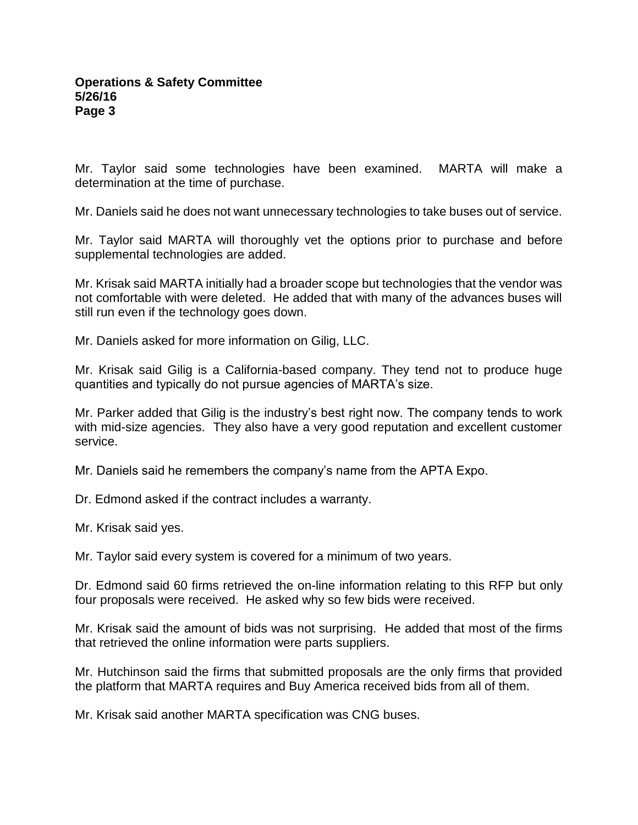Mr. Taylor said some technologies have been examined. MARTA will make a determination at the time of purchase.

Mr. Daniels said he does not want unnecessary technologies to take buses out of service.

Mr. Taylor said MARTA will thoroughly vet the options prior to purchase and before supplemental technologies are added.

Mr. Krisak said MARTA initially had a broader scope but technologies that the vendor was not comfortable with were deleted. He added that with many of the advances buses will still run even if the technology goes down.

Mr. Daniels asked for more information on Gilig, LLC.

Mr. Krisak said Gilig is a California-based company. They tend not to produce huge quantities and typically do not pursue agencies of MARTA's size.

Mr. Parker added that Gilig is the industry's best right now. The company tends to work with mid-size agencies. They also have a very good reputation and excellent customer service.

Mr. Daniels said he remembers the company's name from the APTA Expo.

Dr. Edmond asked if the contract includes a warranty.

Mr. Krisak said yes.

Mr. Taylor said every system is covered for a minimum of two years.

Dr. Edmond said 60 firms retrieved the on-line information relating to this RFP but only four proposals were received. He asked why so few bids were received.

Mr. Krisak said the amount of bids was not surprising. He added that most of the firms that retrieved the online information were parts suppliers.

Mr. Hutchinson said the firms that submitted proposals are the only firms that provided the platform that MARTA requires and Buy America received bids from all of them.

Mr. Krisak said another MARTA specification was CNG buses.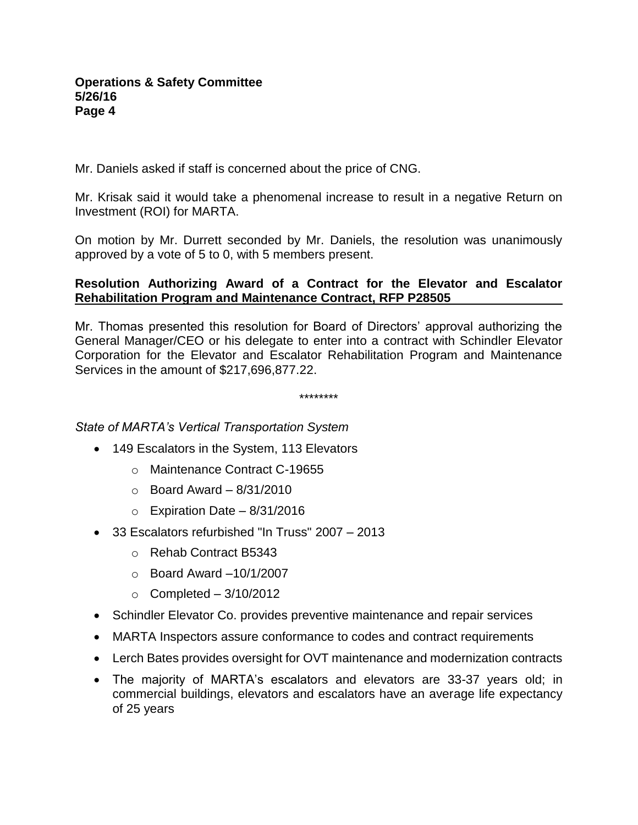Mr. Daniels asked if staff is concerned about the price of CNG.

Mr. Krisak said it would take a phenomenal increase to result in a negative Return on Investment (ROI) for MARTA.

On motion by Mr. Durrett seconded by Mr. Daniels, the resolution was unanimously approved by a vote of 5 to 0, with 5 members present.

## **Resolution Authorizing Award of a Contract for the Elevator and Escalator Rehabilitation Program and Maintenance Contract, RFP P28505**

Mr. Thomas presented this resolution for Board of Directors' approval authorizing the General Manager/CEO or his delegate to enter into a contract with Schindler Elevator Corporation for the Elevator and Escalator Rehabilitation Program and Maintenance Services in the amount of \$217,696,877.22.

\*\*\*\*\*\*\*\*

*State of MARTA's Vertical Transportation System*

- 149 Escalators in the System, 113 Elevators
	- o Maintenance Contract C-19655
	- $\circ$  Board Award 8/31/2010
	- $\circ$  Expiration Date 8/31/2016
- 33 Escalators refurbished "In Truss" 2007 2013
	- o Rehab Contract B5343
	- $\circ$  Board Award  $-10/1/2007$
	- $\circ$  Completed 3/10/2012
- Schindler Elevator Co. provides preventive maintenance and repair services
- MARTA Inspectors assure conformance to codes and contract requirements
- Lerch Bates provides oversight for OVT maintenance and modernization contracts
- The majority of MARTA's escalators and elevators are 33-37 years old; in commercial buildings, elevators and escalators have an average life expectancy of 25 years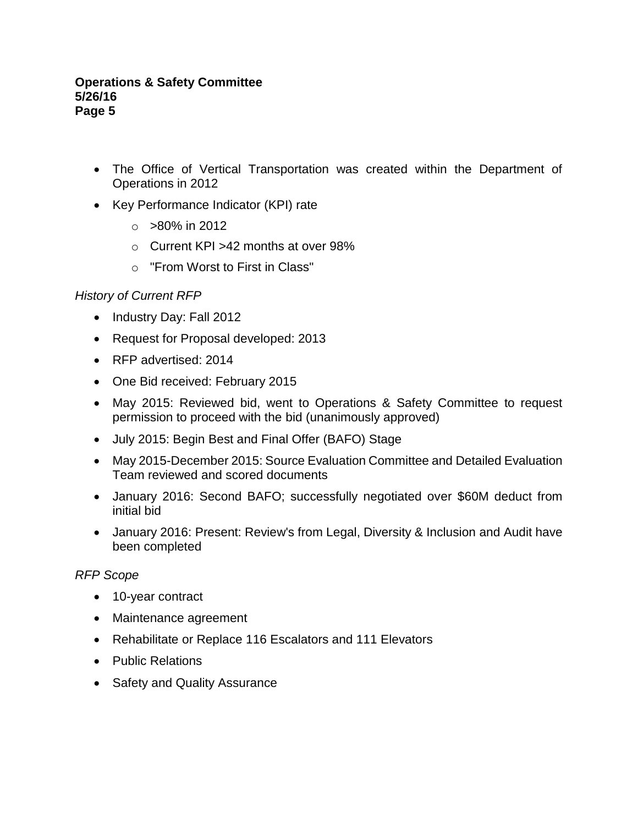- The Office of Vertical Transportation was created within the Department of Operations in 2012
- Key Performance Indicator (KPI) rate
	- $\circ$  >80% in 2012
	- o Current KPI >42 months at over 98%
	- o "From Worst to First in Class"

### *History of Current RFP*

- Industry Day: Fall 2012
- Request for Proposal developed: 2013
- RFP advertised: 2014
- One Bid received: February 2015
- May 2015: Reviewed bid, went to Operations & Safety Committee to request permission to proceed with the bid (unanimously approved)
- July 2015: Begin Best and Final Offer (BAFO) Stage
- May 2015-December 2015: Source Evaluation Committee and Detailed Evaluation Team reviewed and scored documents
- January 2016: Second BAFO; successfully negotiated over \$60M deduct from initial bid
- January 2016: Present: Review's from Legal, Diversity & Inclusion and Audit have been completed

### *RFP Scope*

- 10-year contract
- Maintenance agreement
- Rehabilitate or Replace 116 Escalators and 111 Elevators
- Public Relations
- Safety and Quality Assurance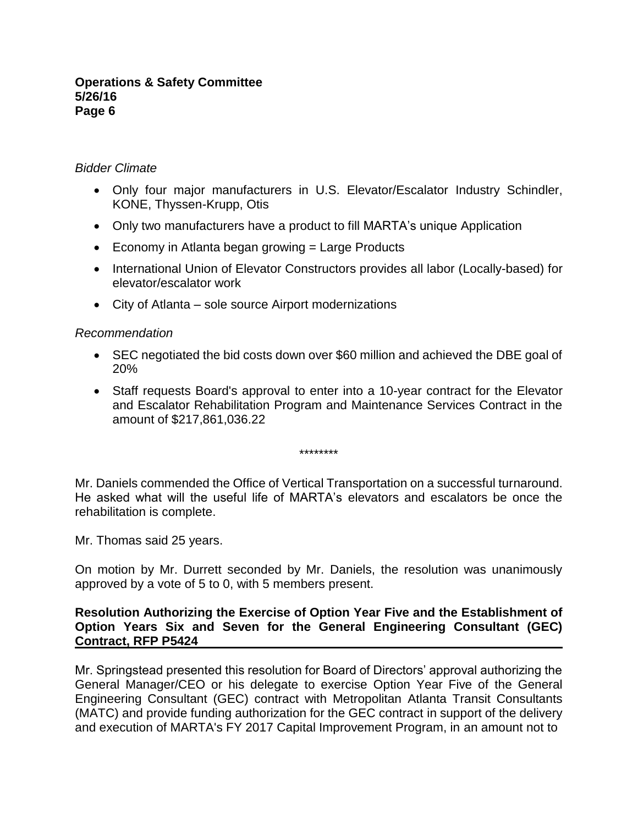### *Bidder Climate*

- Only four major manufacturers in U.S. Elevator/Escalator Industry Schindler, KONE, Thyssen-Krupp, Otis
- Only two manufacturers have a product to fill MARTA's unique Application
- $\bullet$  Economy in Atlanta began growing  $=$  Large Products
- International Union of Elevator Constructors provides all labor (Locally-based) for elevator/escalator work
- City of Atlanta sole source Airport modernizations

## *Recommendation*

- SEC negotiated the bid costs down over \$60 million and achieved the DBE goal of 20%
- Staff requests Board's approval to enter into a 10-year contract for the Elevator and Escalator Rehabilitation Program and Maintenance Services Contract in the amount of \$217,861,036.22

\*\*\*\*\*\*\*\*

Mr. Daniels commended the Office of Vertical Transportation on a successful turnaround. He asked what will the useful life of MARTA's elevators and escalators be once the rehabilitation is complete.

Mr. Thomas said 25 years.

On motion by Mr. Durrett seconded by Mr. Daniels, the resolution was unanimously approved by a vote of 5 to 0, with 5 members present.

### **Resolution Authorizing the Exercise of Option Year Five and the Establishment of Option Years Six and Seven for the General Engineering Consultant (GEC) Contract, RFP P5424**

Mr. Springstead presented this resolution for Board of Directors' approval authorizing the General Manager/CEO or his delegate to exercise Option Year Five of the General Engineering Consultant (GEC) contract with Metropolitan Atlanta Transit Consultants (MATC) and provide funding authorization for the GEC contract in support of the delivery and execution of MARTA's FY 2017 Capital Improvement Program, in an amount not to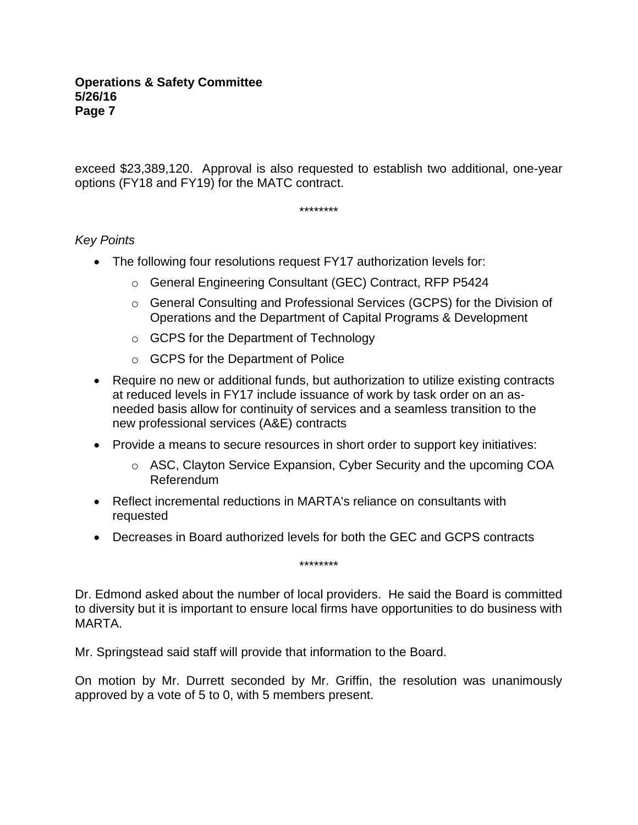exceed \$23,389,120. Approval is also requested to establish two additional, one-year options (FY18 and FY19) for the MATC contract.

\*\*\*\*\*\*\*\*

# *Key Points*

- The following four resolutions request FY17 authorization levels for:
	- o General Engineering Consultant (GEC) Contract, RFP P5424
	- o General Consulting and Professional Services (GCPS) for the Division of Operations and the Department of Capital Programs & Development
	- o GCPS for the Department of Technology
	- o GCPS for the Department of Police
- Require no new or additional funds, but authorization to utilize existing contracts at reduced levels in FY17 include issuance of work by task order on an asneeded basis allow for continuity of services and a seamless transition to the new professional services (A&E) contracts
- Provide a means to secure resources in short order to support key initiatives:
	- $\circ$  ASC, Clayton Service Expansion, Cyber Security and the upcoming COA Referendum
- Reflect incremental reductions in MARTA's reliance on consultants with requested
- Decreases in Board authorized levels for both the GEC and GCPS contracts

\*\*\*\*\*\*\*\*

Dr. Edmond asked about the number of local providers. He said the Board is committed to diversity but it is important to ensure local firms have opportunities to do business with MARTA.

Mr. Springstead said staff will provide that information to the Board.

On motion by Mr. Durrett seconded by Mr. Griffin, the resolution was unanimously approved by a vote of 5 to 0, with 5 members present.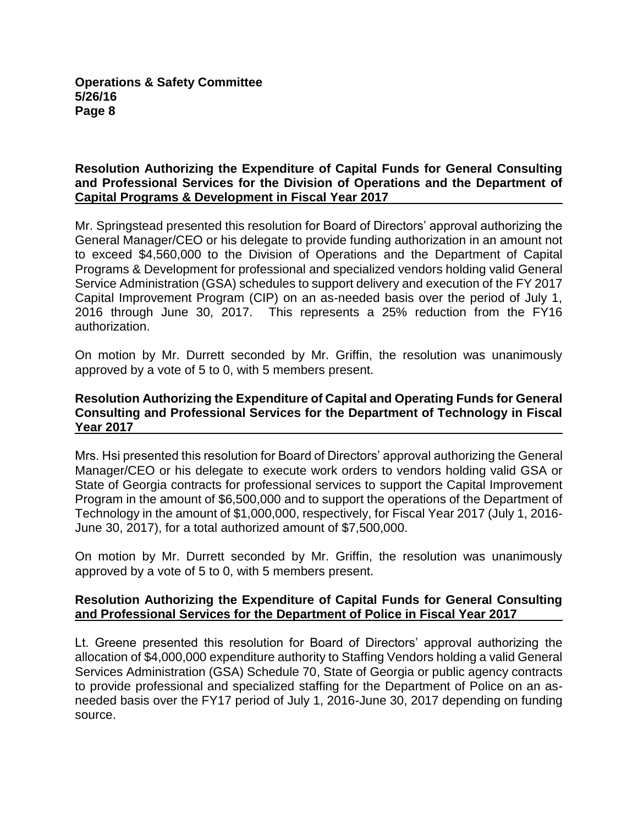## **Resolution Authorizing the Expenditure of Capital Funds for General Consulting and Professional Services for the Division of Operations and the Department of Capital Programs & Development in Fiscal Year 2017**

Mr. Springstead presented this resolution for Board of Directors' approval authorizing the General Manager/CEO or his delegate to provide funding authorization in an amount not to exceed \$4,560,000 to the Division of Operations and the Department of Capital Programs & Development for professional and specialized vendors holding valid General Service Administration (GSA) schedules to support delivery and execution of the FY 2017 Capital Improvement Program (CIP) on an as-needed basis over the period of July 1, 2016 through June 30, 2017. This represents a 25% reduction from the FY16 authorization.

On motion by Mr. Durrett seconded by Mr. Griffin, the resolution was unanimously approved by a vote of 5 to 0, with 5 members present.

### **Resolution Authorizing the Expenditure of Capital and Operating Funds for General Consulting and Professional Services for the Department of Technology in Fiscal Year 2017**

Mrs. Hsi presented this resolution for Board of Directors' approval authorizing the General Manager/CEO or his delegate to execute work orders to vendors holding valid GSA or State of Georgia contracts for professional services to support the Capital Improvement Program in the amount of \$6,500,000 and to support the operations of the Department of Technology in the amount of \$1,000,000, respectively, for Fiscal Year 2017 (July 1, 2016- June 30, 2017), for a total authorized amount of \$7,500,000.

On motion by Mr. Durrett seconded by Mr. Griffin, the resolution was unanimously approved by a vote of 5 to 0, with 5 members present.

## **Resolution Authorizing the Expenditure of Capital Funds for General Consulting and Professional Services for the Department of Police in Fiscal Year 2017**

Lt. Greene presented this resolution for Board of Directors' approval authorizing the allocation of \$4,000,000 expenditure authority to Staffing Vendors holding a valid General Services Administration (GSA) Schedule 70, State of Georgia or public agency contracts to provide professional and specialized staffing for the Department of Police on an asneeded basis over the FY17 period of July 1, 2016-June 30, 2017 depending on funding source.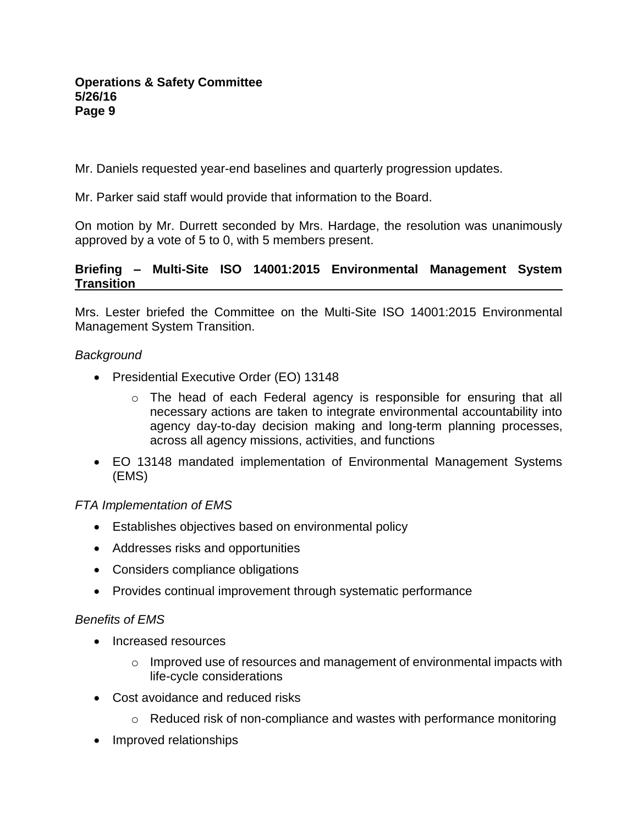Mr. Daniels requested year-end baselines and quarterly progression updates.

Mr. Parker said staff would provide that information to the Board.

On motion by Mr. Durrett seconded by Mrs. Hardage, the resolution was unanimously approved by a vote of 5 to 0, with 5 members present.

# **Briefing – Multi-Site ISO 14001:2015 Environmental Management System Transition**

Mrs. Lester briefed the Committee on the Multi-Site ISO 14001:2015 Environmental Management System Transition.

# *Background*

- Presidential Executive Order (EO) 13148
	- $\circ$  The head of each Federal agency is responsible for ensuring that all necessary actions are taken to integrate environmental accountability into agency day-to-day decision making and long-term planning processes, across all agency missions, activities, and functions
- EO 13148 mandated implementation of Environmental Management Systems (EMS)

# *FTA Implementation of EMS*

- Establishes objectives based on environmental policy
- Addresses risks and opportunities
- Considers compliance obligations
- Provides continual improvement through systematic performance

## *Benefits of EMS*

- Increased resources
	- $\circ$  Improved use of resources and management of environmental impacts with life-cycle considerations
- Cost avoidance and reduced risks
	- o Reduced risk of non-compliance and wastes with performance monitoring
- Improved relationships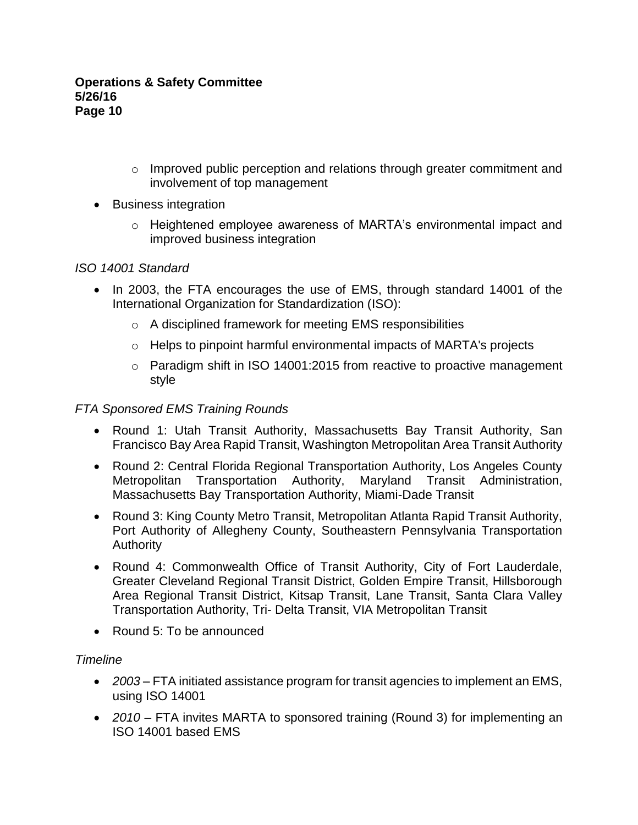- o Improved public perception and relations through greater commitment and involvement of top management
- Business integration
	- o Heightened employee awareness of MARTA's environmental impact and improved business integration

# *ISO 14001 Standard*

- In 2003, the FTA encourages the use of EMS, through standard 14001 of the International Organization for Standardization (ISO):
	- o A disciplined framework for meeting EMS responsibilities
	- o Helps to pinpoint harmful environmental impacts of MARTA's projects
	- o Paradigm shift in ISO 14001:2015 from reactive to proactive management style

# *FTA Sponsored EMS Training Rounds*

- Round 1: Utah Transit Authority, Massachusetts Bay Transit Authority, San Francisco Bay Area Rapid Transit, Washington Metropolitan Area Transit Authority
- Round 2: Central Florida Regional Transportation Authority, Los Angeles County Metropolitan Transportation Authority, Maryland Transit Administration, Massachusetts Bay Transportation Authority, Miami-Dade Transit
- Round 3: King County Metro Transit, Metropolitan Atlanta Rapid Transit Authority, Port Authority of Allegheny County, Southeastern Pennsylvania Transportation Authority
- Round 4: Commonwealth Office of Transit Authority, City of Fort Lauderdale, Greater Cleveland Regional Transit District, Golden Empire Transit, Hillsborough Area Regional Transit District, Kitsap Transit, Lane Transit, Santa Clara Valley Transportation Authority, Tri- Delta Transit, VIA Metropolitan Transit
- Round 5: To be announced

## *Timeline*

- *2003* FTA initiated assistance program for transit agencies to implement an EMS, using ISO 14001
- *2010* FTA invites MARTA to sponsored training (Round 3) for implementing an ISO 14001 based EMS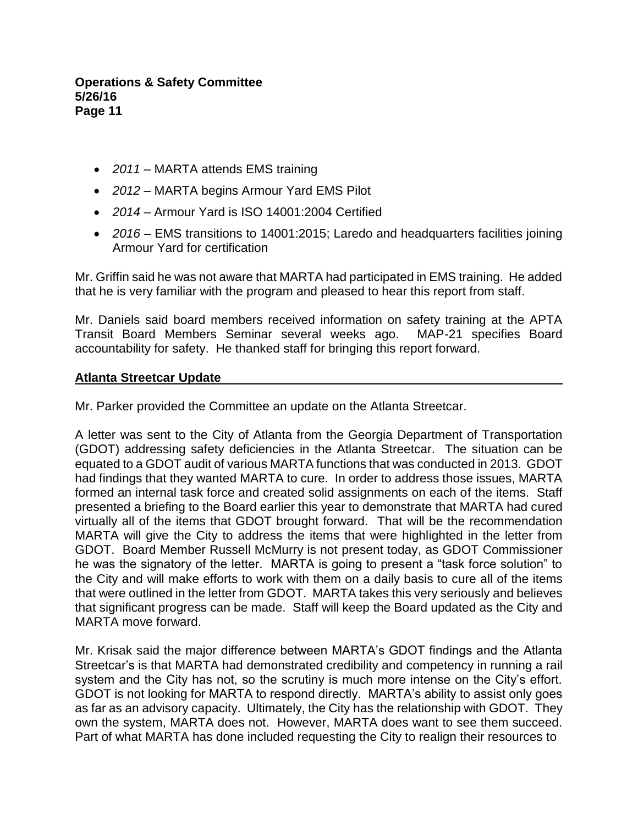- *2011* MARTA attends EMS training
- *2012* MARTA begins Armour Yard EMS Pilot
- *2014* Armour Yard is ISO 14001:2004 Certified
- *2016* EMS transitions to 14001:2015; Laredo and headquarters facilities joining Armour Yard for certification

Mr. Griffin said he was not aware that MARTA had participated in EMS training. He added that he is very familiar with the program and pleased to hear this report from staff.

Mr. Daniels said board members received information on safety training at the APTA Transit Board Members Seminar several weeks ago. MAP-21 specifies Board accountability for safety. He thanked staff for bringing this report forward.

### **Atlanta Streetcar Update**

Mr. Parker provided the Committee an update on the Atlanta Streetcar.

A letter was sent to the City of Atlanta from the Georgia Department of Transportation (GDOT) addressing safety deficiencies in the Atlanta Streetcar. The situation can be equated to a GDOT audit of various MARTA functions that was conducted in 2013. GDOT had findings that they wanted MARTA to cure. In order to address those issues, MARTA formed an internal task force and created solid assignments on each of the items. Staff presented a briefing to the Board earlier this year to demonstrate that MARTA had cured virtually all of the items that GDOT brought forward. That will be the recommendation MARTA will give the City to address the items that were highlighted in the letter from GDOT. Board Member Russell McMurry is not present today, as GDOT Commissioner he was the signatory of the letter. MARTA is going to present a "task force solution" to the City and will make efforts to work with them on a daily basis to cure all of the items that were outlined in the letter from GDOT. MARTA takes this very seriously and believes that significant progress can be made. Staff will keep the Board updated as the City and MARTA move forward.

Mr. Krisak said the major difference between MARTA's GDOT findings and the Atlanta Streetcar's is that MARTA had demonstrated credibility and competency in running a rail system and the City has not, so the scrutiny is much more intense on the City's effort. GDOT is not looking for MARTA to respond directly. MARTA's ability to assist only goes as far as an advisory capacity. Ultimately, the City has the relationship with GDOT. They own the system, MARTA does not. However, MARTA does want to see them succeed. Part of what MARTA has done included requesting the City to realign their resources to